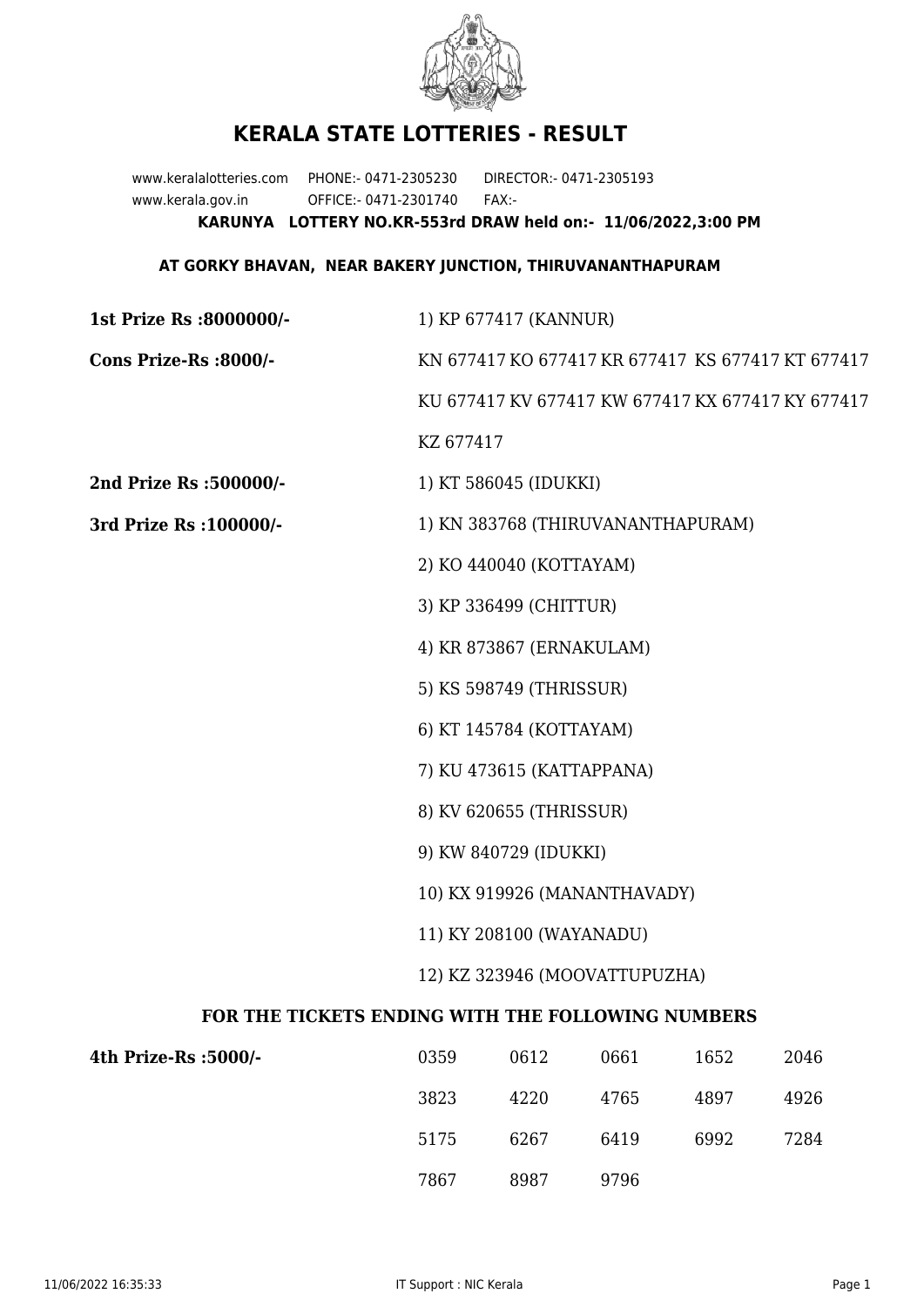

## **KERALA STATE LOTTERIES - RESULT**

www.keralalotteries.com PHONE:- 0471-2305230 DIRECTOR:- 0471-2305193 www.kerala.gov.in OFFICE:- 0471-2301740 FAX:- **KARUNYA LOTTERY NO.KR-553rd DRAW held on:- 11/06/2022,3:00 PM**

## **AT GORKY BHAVAN, NEAR BAKERY JUNCTION, THIRUVANANTHAPURAM**

| 1st Prize Rs :8000000/-                           | 1) KP 677417 (KANNUR)                             |                       |      |      |      |  |
|---------------------------------------------------|---------------------------------------------------|-----------------------|------|------|------|--|
| Cons Prize-Rs :8000/-                             | KN 677417 KO 677417 KR 677417 KS 677417 KT 677417 |                       |      |      |      |  |
|                                                   | KU 677417 KV 677417 KW 677417 KX 677417 KY 677417 |                       |      |      |      |  |
|                                                   | KZ 677417                                         |                       |      |      |      |  |
| 2nd Prize Rs :500000/-                            |                                                   | 1) KT 586045 (IDUKKI) |      |      |      |  |
| 3rd Prize Rs : 100000/-                           | 1) KN 383768 (THIRUVANANTHAPURAM)                 |                       |      |      |      |  |
|                                                   | 2) KO 440040 (KOTTAYAM)                           |                       |      |      |      |  |
|                                                   | 3) KP 336499 (CHITTUR)                            |                       |      |      |      |  |
|                                                   | 4) KR 873867 (ERNAKULAM)                          |                       |      |      |      |  |
|                                                   | 5) KS 598749 (THRISSUR)                           |                       |      |      |      |  |
|                                                   | 6) KT 145784 (KOTTAYAM)                           |                       |      |      |      |  |
|                                                   | 7) KU 473615 (KATTAPPANA)                         |                       |      |      |      |  |
|                                                   | 8) KV 620655 (THRISSUR)                           |                       |      |      |      |  |
|                                                   | 9) KW 840729 (IDUKKI)                             |                       |      |      |      |  |
|                                                   | 10) KX 919926 (MANANTHAVADY)                      |                       |      |      |      |  |
|                                                   | 11) KY 208100 (WAYANADU)                          |                       |      |      |      |  |
|                                                   | 12) KZ 323946 (MOOVATTUPUZHA)                     |                       |      |      |      |  |
| FOR THE TICKETS ENDING WITH THE FOLLOWING NUMBERS |                                                   |                       |      |      |      |  |
| 4th Prize-Rs :5000/-                              | 0359                                              | 0612                  | 0661 | 1652 | 2046 |  |
|                                                   | 3823                                              | 4220                  | 4765 | 4897 | 4926 |  |

7867 8987 9796

5175 6267 6419 6992 7284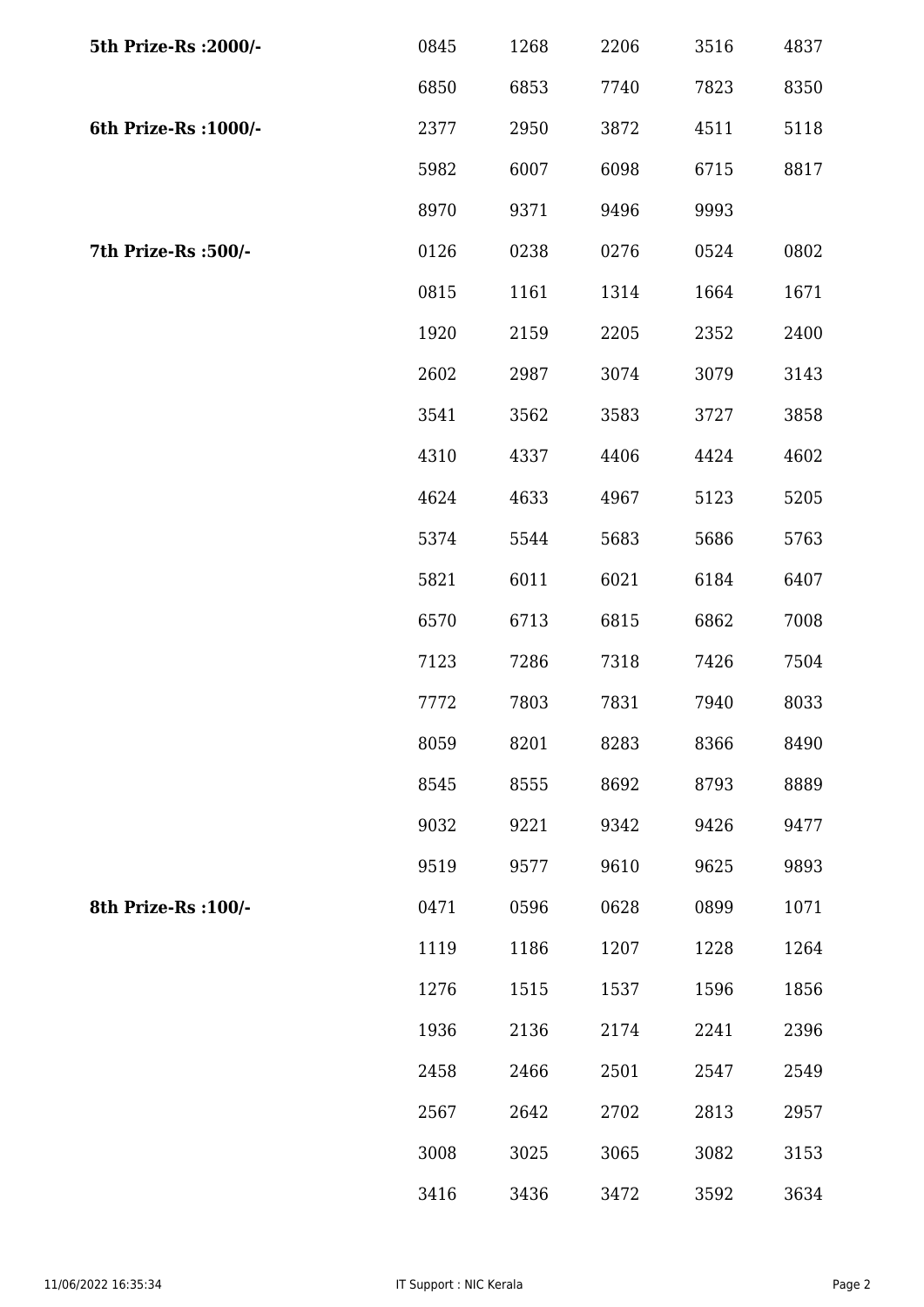| 5th Prize-Rs : 2000/- | 0845 | 1268 | 2206 | 3516 | 4837 |
|-----------------------|------|------|------|------|------|
|                       | 6850 | 6853 | 7740 | 7823 | 8350 |
| 6th Prize-Rs : 1000/- | 2377 | 2950 | 3872 | 4511 | 5118 |
|                       | 5982 | 6007 | 6098 | 6715 | 8817 |
|                       | 8970 | 9371 | 9496 | 9993 |      |
| 7th Prize-Rs :500/-   | 0126 | 0238 | 0276 | 0524 | 0802 |
|                       | 0815 | 1161 | 1314 | 1664 | 1671 |
|                       | 1920 | 2159 | 2205 | 2352 | 2400 |
|                       | 2602 | 2987 | 3074 | 3079 | 3143 |
|                       | 3541 | 3562 | 3583 | 3727 | 3858 |
|                       | 4310 | 4337 | 4406 | 4424 | 4602 |
|                       | 4624 | 4633 | 4967 | 5123 | 5205 |
|                       | 5374 | 5544 | 5683 | 5686 | 5763 |
|                       | 5821 | 6011 | 6021 | 6184 | 6407 |
|                       | 6570 | 6713 | 6815 | 6862 | 7008 |
|                       | 7123 | 7286 | 7318 | 7426 | 7504 |
|                       | 7772 | 7803 | 7831 | 7940 | 8033 |
|                       | 8059 | 8201 | 8283 | 8366 | 8490 |
|                       | 8545 | 8555 | 8692 | 8793 | 8889 |
|                       | 9032 | 9221 | 9342 | 9426 | 9477 |
|                       | 9519 | 9577 | 9610 | 9625 | 9893 |
| 8th Prize-Rs : 100/-  | 0471 | 0596 | 0628 | 0899 | 1071 |
|                       | 1119 | 1186 | 1207 | 1228 | 1264 |
|                       | 1276 | 1515 | 1537 | 1596 | 1856 |
|                       | 1936 | 2136 | 2174 | 2241 | 2396 |
|                       | 2458 | 2466 | 2501 | 2547 | 2549 |
|                       | 2567 | 2642 | 2702 | 2813 | 2957 |
|                       | 3008 | 3025 | 3065 | 3082 | 3153 |
|                       | 3416 | 3436 | 3472 | 3592 | 3634 |